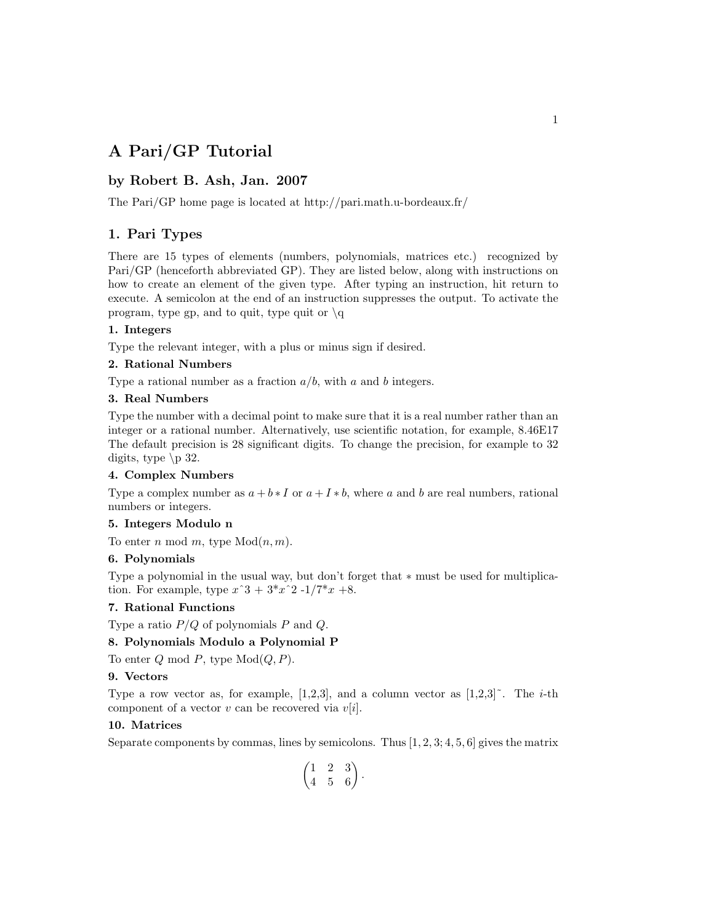# **A Pari/GP Tutorial**

## **by Robert B. Ash, Jan. 2007**

The Pari/GP home page is located at http://pari.math.u-bordeaux.fr/

## **1. Pari Types**

There are 15 types of elements (numbers, polynomials, matrices etc.) recognized by Pari/GP (henceforth abbreviated GP). They are listed below, along with instructions on how to create an element of the given type. After typing an instruction, hit return to execute. A semicolon at the end of an instruction suppresses the output. To activate the program, type gp, and to quit, type quit or  $\qquad \qquad$ 

### **1. Integers**

Type the relevant integer, with a plus or minus sign if desired.

## **2. Rational Numbers**

Type a rational number as a fraction  $a/b$ , with a and b integers.

## **3. Real Numbers**

Type the number with a decimal point to make sure that it is a real number rather than an integer or a rational number. Alternatively, use scientific notation, for example,  $8.46E17$ The default precision is 28 significant digits. To change the precision, for example to 32 digits, type  $\pmb{\downarrow}$  p 32.

#### **4. Complex Numbers**

Type a complex number as  $a + b * I$  or  $a + I * b$ , where a and b are real numbers, rational numbers or integers.

#### **5. Integers Modulo n**

To enter *n* mod *m*, type  $Mod(n, m)$ .

### **6. Polynomials**

Type a polynomial in the usual way, but don't forget that ∗ must be used for multiplication. For example, type  $x^3 + 3*x^2 - 1/7*x +8$ .

### **7. Rational Functions**

Type a ratio *P/Q* of polynomials *P* and *Q*.

### **8. Polynomials Modulo a Polynomial P**

To enter  $Q \mod P$ , type  $Mod(Q, P)$ .

#### **9. Vectors**

Type a row vector as, for example,  $[1,2,3]$ , and a column vector as  $[1,2,3]$ <sup>\*</sup>. The *i*-th component of a vector *v* can be recovered via *v*[*i*].

## **10. Matrices**

Separate components by commas, lines by semicolons. Thus  $[1, 2, 3; 4, 5, 6]$  gives the matrix

$$
\begin{pmatrix} 1 & 2 & 3 \\ 4 & 5 & 6 \end{pmatrix}.
$$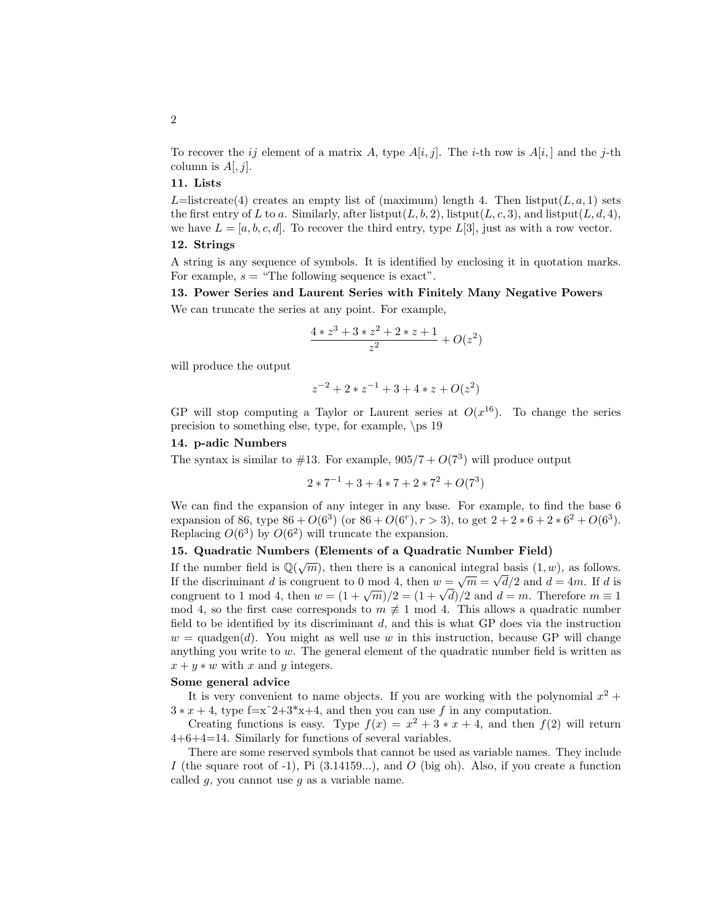### **11. Lists**

*L*=listcreate(4) creates an empty list of (maximum) length 4. Then listput(*L,a,1*) sets the first entry of *L* to *a*. Similarly, after listput(*L*, *b*, 2), listput(*L*, *c*, 3), and listput(*L*, *d*, 4), we have  $L = [a, b, c, d]$ . To recover the third entry, type  $L[3]$ , just as with a row vector.

## **12. Strings**

A string is any sequence of symbols. It is identified by enclosing it in quotation marks. For example,  $s =$  "The following sequence is exact".

**13. Power Series and Laurent Series with Finitely Many Negative Powers** We can truncate the series at any point. For example,

$$
\frac{4 * z^3 + 3 * z^2 + 2 * z + 1}{z^2} + O(z^2)
$$

will produce the output

$$
z^{-2} + 2 \cdot z^{-1} + 3 + 4 \cdot z + O(z^2)
$$

GP will stop computing a Taylor or Laurent series at  $O(x^{16})$ . To change the series precision to something else, type, for example,  $\ps 19$ 

#### **14. p-adic Numbers**

The syntax is similar to  $#13$ . For example,  $905/7 + O(7^3)$  will produce output

$$
2 * 7^{-1} + 3 + 4 * 7 + 2 * 7^2 + O(7^3)
$$

We can find the expansion of any integer in any base. For example, to find the base  $6$ expansion of 86, type  $86 + O(6^3)$  (or  $86 + O(6^r)$ ,  $r > 3$ ), to get  $2 + 2 * 6 + 2 * 6^2 + O(6^3)$ . Replacing  $O(6^3)$  by  $O(6^2)$  will truncate the expansion.

#### **15. Quadratic Numbers (Elements of a Quadratic Number Field)**

If the number field is  $\mathbb{Q}(\sqrt{m})$ , then there is a canonical integral basis  $(1, w)$ , as follows. If the number field is  $\mathbb{Q}(\sqrt{m})$ , then there is a canonical integral basis  $(1, w)$ , as follows.<br>If the discriminant *d* is congruent to 0 mod 4, then  $w = \sqrt{m} = \sqrt{d}/2$  and  $d = 4m$ . If *d* is if the discriminant *a* is congruent to 0 mod 4, then  $w = \sqrt{m} = \sqrt{a}/2$  and  $a = 4m$ . If *a* is congruent to 1 mod 4, then  $w = (1 + \sqrt{m})/2 = (1 + \sqrt{d})/2$  and  $d = m$ . Therefore  $m \equiv 1$ mod 4, so the first case corresponds to  $m \neq 1$  mod 4. This allows a quadratic number field to be identified by its discriminant  $d$ , and this is what GP does via the instruction  $w = \text{quadgen}(d)$ . You might as well use *w* in this instruction, because GP will change anything you write to *w*. The general element of the quadratic number field is written as  $x + y * w$  with *x* and *y* integers.

#### **Some general advice**

It is very convenient to name objects. If you are working with the polynomial  $x^2 +$  $3 * x + 4$ , type f=x<sup> $\hat{ }2+3*x+4$ , and then you can use *f* in any computation.</sup>

Creating functions is easy. Type  $f(x) = x^2 + 3*x + 4$ , and then  $f(2)$  will return 4+6+4=14. Similarly for functions of several variables.

There are some reserved symbols that cannot be used as variable names. They include *I* (the square root of -1), Pi  $(3.14159...)$ , and *O* (big oh). Also, if you create a function called  $g$ , you cannot use  $g$  as a variable name.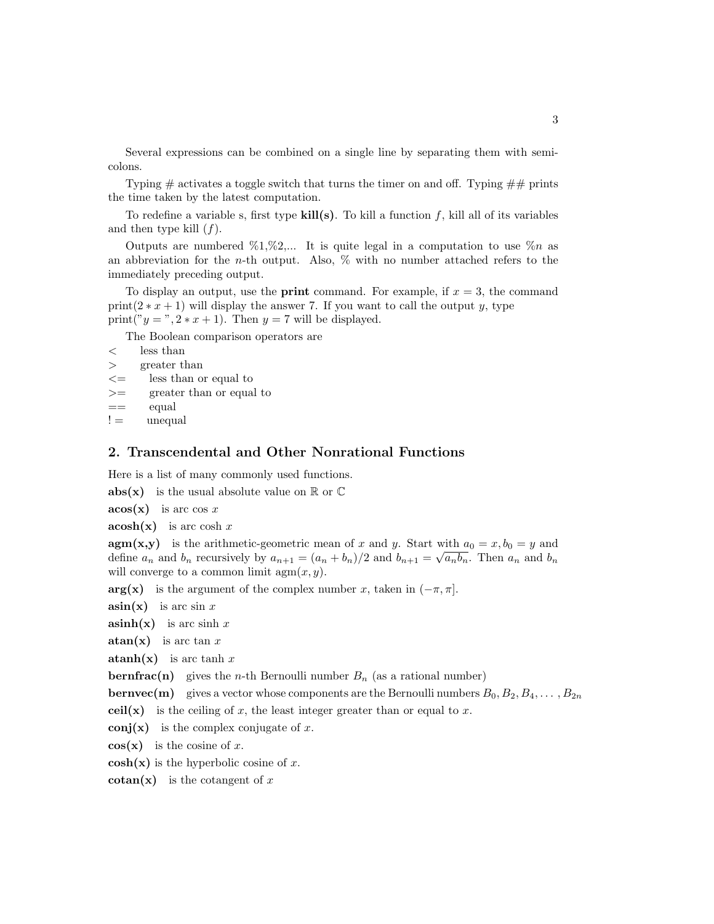Several expressions can be combined on a single line by separating them with semicolons.

Typing  $\#$  activates a toggle switch that turns the timer on and off. Typing  $\# \#$  prints the time taken by the latest computation.

To redefine a variable s, first type  $\textbf{kill}(s)$ . To kill a function f, kill all of its variables and then type kill (*f*).

Outputs are numbered  $\%1,\%2,...$  It is quite legal in a computation to use  $\%n$  as an abbreviation for the *n*-th output. Also,% with no number attached refers to the immediately preceding output.

To display an output, use the **print** command. For example, if  $x = 3$ , the command print( $2 * x + 1$ ) will display the answer 7. If you want to call the output *y*, type print(" $y =$ ",  $2 * x + 1$ ). Then  $y = 7$  will be displayed.

The Boolean comparison operators are

```
< less than
> greater than
```
- *<*= less than or equal to
- *>*= greater than or equal to
- $=$  equal
- $!=$  unequal

## **2. Transcendental and Other Nonrational Functions**

Here is a list of many commonly used functions.

**abs(x)** is the usual absolute value on  $\mathbb{R}$  or  $\mathbb{C}$ 

**acos(x)** is arc cos *x*

**acosh(x)** is arc cosh *x*

**agm(x,y)** is the arithmetic-geometric mean of *x* and *y*. Start with  $a_0 = x, b_0 = y$  and define  $a_n$  and  $b_n$  recursively by  $a_{n+1} = (a_n + b_n)/2$  and  $b_{n+1} = \sqrt{a_n b_n}$ . Then  $a_n$  and  $b_n$ will converge to a common limit agm(*x, y*).

**arg(x)** is the argument of the complex number *x*, taken in  $(-\pi, \pi]$ .

 $\sin(x)$  is arc sin *x* 

 $a\sinh(x)$  is arc sinh *x* 

**atan(x)** is arc tan *x*

**atanh(x)** is arc tanh  $x$ 

**bernfrac(n)** gives the *n*-th Bernoulli number  $B_n$  (as a rational number)

**bernvec(m)** gives a vector whose components are the Bernoulli numbers  $B_0, B_2, B_4, \ldots, B_{2n}$ 

**ceil(x)** is the ceiling of *x*, the least integer greater than or equal to *x*.

**conj(x)** is the complex conjugate of *x*.

 $cos(x)$  is the cosine of *x*.

 $cosh(x)$  is the hyperbolic cosine of x.

**cotan(x)** is the cotangent of *x*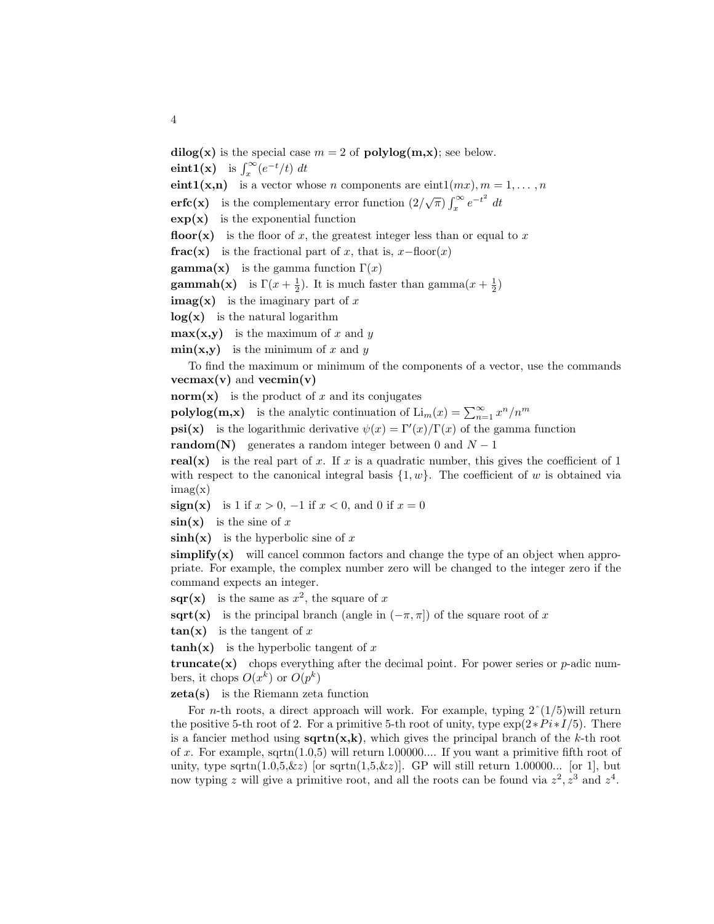**dilog(x)** is the special case  $m = 2$  of **polylog(m,x)**; see below.

**eint1(x)** is  $\int_x^{\infty} (e^{-t}/t) dt$ 

**eint1(x,n)** is a vector whose *n* components are eint1( $mx$ )*, m* = 1*,...*, *n* 

**erfc(x)** is the complementary error function  $\left(2/\sqrt{\pi}\right) \int_x^{\infty} e^{-t^2} dt$ 

 $\exp(x)$  is the exponential function

**floor(x)** is the floor of *x*, the greatest integer less than or equal to *x* 

**frac(x)** is the fractional part of *x*, that is,  $x-\text{floor}(x)$ 

**gamma(x)** is the gamma function  $\Gamma(x)$ 

**gammah(x)** is  $\Gamma(x + \frac{1}{2})$ . It is much faster than gamma $(x + \frac{1}{2})$ 

**imag(x)** is the imaginary part of *x*

**log(x)** is the natural logarithm

 $max(x,y)$  is the maximum of *x* and *y* 

 $\min(x,y)$  is the minimum of *x* and *y* 

To find the maximum or minimum of the components of a vector,use the commands **vecmax(v)** and **vecmin(v)**

**norm(x)** is the product of  $x$  and its conjugates

**polylog(m,x)** is the analytic continuation of  $\text{Li}_m(x) = \sum_{n=1}^{\infty} x^n/n^m$ 

**psi(x)** is the logarithmic derivative  $\psi(x) = \Gamma'(x)/\Gamma(x)$  of the gamma function

**random(N)** generates a random integer between 0 and  $N-1$ 

**real(x)** is the real part of  $x$ . If  $x$  is a quadratic number, this gives the coefficient of 1 with respect to the canonical integral basis  $\{1, w\}$ . The coefficient of *w* is obtained via  $\text{imag}(x)$ 

**sign(x)** is 1 if  $x > 0$ , −1 if  $x < 0$ , and 0 if  $x = 0$ 

 $\sin(x)$  is the sine of x

**sinh(x)** is the hyperbolic sine of *x*

 $\textbf{simply}(x)$  will cancel common factors and change the type of an object when appropriate. For example, the complex number zero will be changed to the integer zero if the command expects an integer.

**sqr(x)** is the same as  $x^2$ , the square of x

**sqrt(x)** is the principal branch (angle in  $(-\pi, \pi]$ ) of the square root of *x* 

 $tan(x)$  is the tangent of x

**tanh(x)** is the hyperbolic tangent of  $x$ 

**truncate(x)** chops everything after the decimal point. For power series or  $p$ -adic numbers, it chops  $O(x^k)$  or  $O(p^k)$ 

**zeta(s)** is the Riemann zeta function

For *n*-th roots, a direct approach will work. For example, typing  $2^{\degree}(1/5)$  will return the positive 5-th root of 2. For a primitive 5-th root of unity, type  $\exp(2*Pi*I/5)$ . There is a fancier method using  $sqrt(x,k)$ , which gives the principal branch of the *k*-th root of x. For example, sqrtn $(1.0,5)$  will return 1.00000.... If you want a primitive fifth root of unity, type sqrtn $(1.0,5,\&z)$  [or sqrtn $(1,5,\&z)$ ]. GP will still return 1.00000... [or 1], but now typing *z* will give a primitive root, and all the roots can be found via  $z^2$ ,  $z^3$  and  $z^4$ .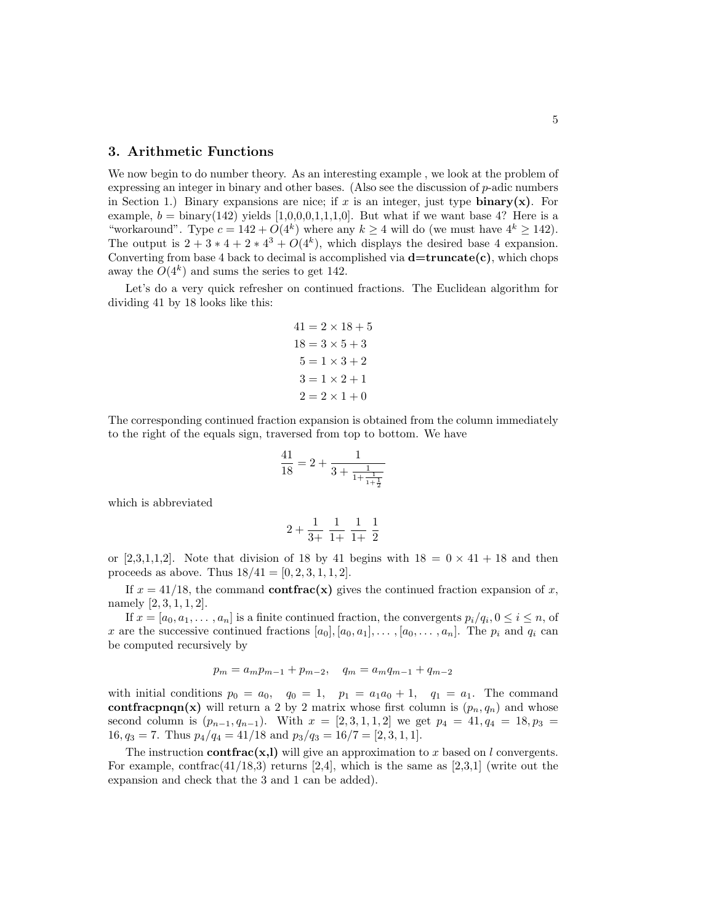### **3. Arithmetic Functions**

We now begin to do number theory. As an interesting example, we look at the problem of expressing an integer in binary and other bases. (Also see the discussion of *p*-adic numbers in Section 1.) Binary expansions are nice; if x is an integer, just type **binary(x)**. For example,  $b = \text{binary}(142)$  yields [1,0,0,0,1,1,1,0]. But what if we want base 4? Here is a "workaround". Type  $c = 142 + O(4^k)$  where any  $k \ge 4$  will do (we must have  $4^k \ge 142$ ). The output is  $2 + 3 * 4 + 2 * 4^3 + O(4^k)$ , which displays the desired base 4 expansion. Converting from base 4 back to decimal is accomplished via  $d=truncated(c)$ , which chops away the  $O(4^k)$  and sums the series to get 142.

Let's do a very quick refresher on continued fractions. The Euclidean algorithm for dividing 41 by 18 looks like this:

$$
41 = 2 \times 18 + 5
$$
  
\n
$$
18 = 3 \times 5 + 3
$$
  
\n
$$
5 = 1 \times 3 + 2
$$
  
\n
$$
3 = 1 \times 2 + 1
$$
  
\n
$$
2 = 2 \times 1 + 0
$$

The corresponding continued fraction expansion is obtained from the column immediately to the right of the equals sign, traversed from top to bottom. We have

$$
\frac{41}{18} = 2 + \frac{1}{3 + \frac{1}{1 + \frac{1}{1 + \frac{1}{2}}}}
$$

which is abbreviated

$$
2 + \frac{1}{3+} \frac{1}{1+} \frac{1}{1+} \frac{1}{2}
$$

or [2,3,1,1,2]. Note that division of 18 by 41 begins with  $18 = 0 \times 41 + 18$  and then proceeds as above. Thus  $18/41 = [0, 2, 3, 1, 1, 2]$ .

If  $x = 41/18$ , the command **contfrac(x)** gives the continued fraction expansion of *x*, namely [2*,* 3*,* 1*,* 1*,* 2].

If  $x = [a_0, a_1, \ldots, a_n]$  is a finite continued fraction, the convergents  $p_i/q_i, 0 \le i \le n$ , of *x* are the successive continued fractions  $[a_0], [a_0, a_1], \ldots, [a_0, \ldots, a_n]$ . The  $p_i$  and  $q_i$  can be computed recursively by

$$
p_m = a_m p_{m-1} + p_{m-2}, \quad q_m = a_m q_{m-1} + q_{m-2}
$$

with initial conditions  $p_0 = a_0$ ,  $q_0 = 1$ ,  $p_1 = a_1a_0 + 1$ ,  $q_1 = a_1$ . The command **contfracpnqn(x)** will return a 2 by 2 matrix whose first column is  $(p_n, q_n)$  and whose second column is  $(p_{n-1}, q_{n-1})$ . With  $x = [2, 3, 1, 1, 2]$  we get  $p_4 = 41, q_4 = 18, p_3 = 12$ 16*, q*<sub>3</sub> = 7. Thus  $p_4/q_4 = 41/18$  and  $p_3/q_3 = 16/7 = [2, 3, 1, 1].$ 

The instruction **contfrac(x,l)** will give an approximation to *x* based on *l* convergents. For example, contrac( $41/18,3$ ) returns [2,4], which is the same as [2,3,1] (write out the expansion and check that the 3 and 1 can be added).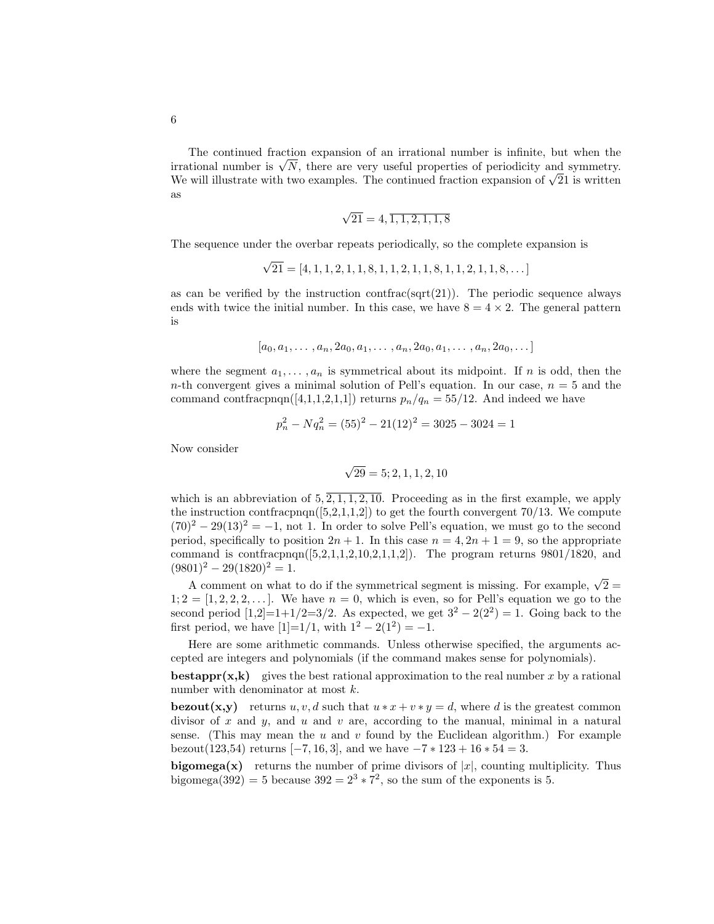The continued fraction expansion of an irrational number is infinite, but when the The continued fraction expansion of an irrational number is infinite, but when the irrational number is  $\sqrt{N}$ , there are very useful properties of periodicity and symmetry. We will illustrate with two examples. The continued fraction expansion of  $\sqrt{21}$  is written as

$$
\sqrt{21} = 4, \overline{1, 1, 2, 1, 1, 8}
$$

The sequence under the overbar repeats periodically, so the complete expansion is

$$
\sqrt{21} = [4, 1, 1, 2, 1, 1, 8, 1, 1, 2, 1, 1, 8, 1, 1, 2, 1, 1, 8, \dots]
$$

as can be verified by the instruction contrac( $sqrt(21)$ ). The periodic sequence always ends with twice the initial number. In this case, we have  $8 = 4 \times 2$ . The general pattern is

$$
[a_0, a_1, \ldots, a_n, 2a_0, a_1, \ldots, a_n, 2a_0, a_1, \ldots, a_n, 2a_0, \ldots]
$$

where the segment  $a_1, \ldots, a_n$  is symmetrical about its midpoint. If *n* is odd, then the *n*-th convergent gives a minimal solution of Pell's equation. In our case,  $n = 5$  and the command contfracpnqn([4,1,1,2,1,1]) returns  $p_n/q_n = 55/12$ . And indeed we have

$$
p_n^2 - Nq_n^2 = (55)^2 - 21(12)^2 = 3025 - 3024 = 1
$$

Now consider

$$
\sqrt{29} = 5; 2, 1, 1, 2, 10
$$

which is an abbreviation of  $5, \overline{2, 1, 1, 2, 10}$ . Proceeding as in the first example, we apply the instruction contfracpnqn( $[5,2,1,1,2]$ ) to get the fourth convergent 70/13. We compute  $(70)^2 - 29(13)^2 = -1$ , not 1. In order to solve Pell's equation, we must go to the second period, specifically to position  $2n + 1$ . In this case  $n = 4, 2n + 1 = 9$ , so the appropriate command is contracpnqn( $[5,2,1,1,2,10,2,1,1,2]$ ). The program returns 9801/1820, and  $(9801)^2 - 29(1820)^2 = 1.$ 

A comment on what to do if the symmetrical segment is missing. For example,  $\sqrt{2}$  $1; 2 = [1, 2, 2, 2, \ldots]$ . We have  $n = 0$ , which is even, so for Pell's equation we go to the second period  $[1,2]=1+1/2=3/2$ . As expected, we get  $3^2 - 2(2^2) = 1$ . Going back to the first period, we have  $[1]=1/1$ , with  $1^2-2(1^2)=-1$ .

Here are some arithmetic commands. Unless otherwise specified, the arguments accepted are integers and polynomials (if the command makes sense for polynomials).

**bestappr(x,k)** gives the best rational approximation to the real number x by a rational number with denominator at most *k*.

**bezout(x,y)** returns *u, v, d* such that  $u * x + v * y = d$ , where *d* is the greatest common divisor of  $x$  and  $y$ , and  $u$  and  $v$  are, according to the manual, minimal in a natural sense. (This may mean the  $u$  and  $v$  found by the Euclidean algorithm.) For example bezout(123,54) returns  $[-7, 16, 3]$ , and we have  $-7 * 123 + 16 * 54 = 3$ .

**bigomega(x)** returns the number of prime divisors of  $|x|$ , counting multiplicity. Thus bigomega(392) = 5 because  $392 = 2^3 \times 7^2$ , so the sum of the exponents is 5.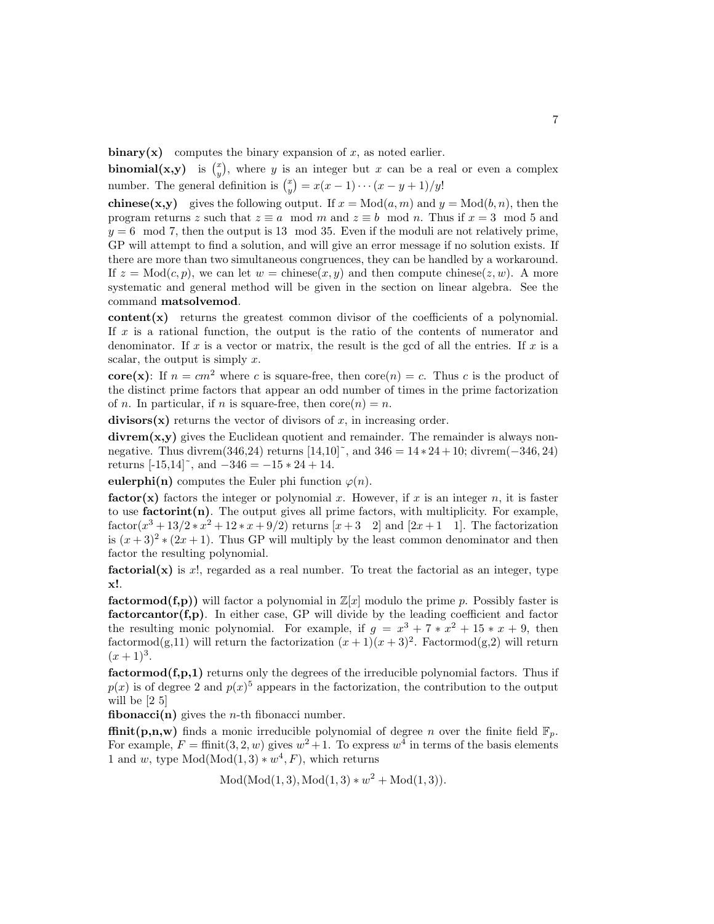**binary(x)** computes the binary expansion of  $x$ , as noted earlier.

**binomial(x,y)** is  $\binom{x}{y}$ , where *y* is an integer but *x* can be a real or even a complex number. The general definition is  $\binom{x}{y} = x(x-1)\cdots(x-y+1)/y!$ 

**chinese(x,y)** gives the following output. If  $x = Mod(a, m)$  and  $y = Mod(b, n)$ , then the program returns *z* such that  $z \equiv a \mod m$  and  $z \equiv b \mod n$ . Thus if  $x = 3 \mod 5$  and  $y = 6 \mod 7$ , then the output is 13 mod 35. Even if the moduli are not relatively prime, GP will attempt to find a solution, and will give an error message if no solution exists. If there are more than two simultaneous congruences, they can be handled by a workaround. If  $z = Mod(c, p)$ , we can let  $w = \text{chinese}(x, y)$  and then compute chinese $(z, w)$ . A more systematic and general method will be given in the section on linear algebra. See the command **matsolvemod**.

**content(x)** returns the greatest common divisor of the coefficients of a polynomial. If x is a rational function, the output is the ratio of the contents of numerator and denominator. If  $x$  is a vector or matrix, the result is the gcd of all the entries. If  $x$  is a scalar, the output is simply  $x$ .

**core(x)**: If  $n = cm^2$  where *c* is square-free, then core(*n*) = *c*. Thus *c* is the product of the distinct prime factors that appear an odd number of times in the prime factorization of *n*. In particular, if *n* is square-free, then  $\text{core}(n) = n$ .

**divisors** $(x)$  returns the vector of divisors of *x*, in increasing order.

divrem(x,y) gives the Euclidean quotient and remainder. The remainder is always nonnegative. Thus divrem(346,24) returns [14,10]˜, and 346 = 14 ∗ 24+10; divrem(−346*,* 24) returns  $[-15, 14]^\sim$ , and  $-346 = -15 \times 24 + 14$ .

**eulerphi(n)** computes the Euler phi function  $\varphi(n)$ .

**factor(x)** factors the integer or polynomial x. However, if x is an integer  $n$ , it is faster to use  $factorint(n)$ . The output gives all prime factors, with multiplicity. For example,  $factor(x^3 + 13/2 * x^2 + 12 * x + 9/2)$  returns  $[x + 3 \ 2]$  and  $[2x + 1 \ 1]$ . The factorization is  $(x+3)^2 * (2x+1)$ . Thus GP will multiply by the least common denominator and then factor the resulting polynomial.

 $\textbf{factorial}(\mathbf{x})$  is *x*!, regarded as a real number. To treat the factorial as an integer, type **x!**.

**factormod(f,p))** will factor a polynomial in  $\mathbb{Z}[x]$  modulo the prime p. Possibly faster is **factorcantor(f,p)**. In either case, GP will divide by the leading coefficient and factor the resulting monic polynomial. For example, if  $g = x^3 + 7 * x^2 + 15 * x + 9$ , then factormod(g,11) will return the factorization  $(x + 1)(x + 3)^2$ . Factormod(g,2) will return  $(x+1)^3$ .

**factormod(f,p,1)** returns only the degrees of the irreducible polynomial factors. Thus if  $p(x)$  is of degree 2 and  $p(x)$ <sup>5</sup> appears in the factorization, the contribution to the output will be [2 5]

**fibonacci(n)** gives the *n*-th fibonacci number.

**ffinit(p,n,w)** finds a monic irreducible polynomial of degree *n* over the finite field  $\mathbb{F}_p$ . For example,  $F = \text{finit}(3, 2, w)$  gives  $w^2 + 1$ . To express  $w^4$  in terms of the basis elements 1 and *w*, type  $Mod(Mod(1, 3) * w<sup>4</sup>, F)$ , which returns

$$
Mod(Mod(1,3), Mod(1,3)*w^2 + Mod(1,3)).
$$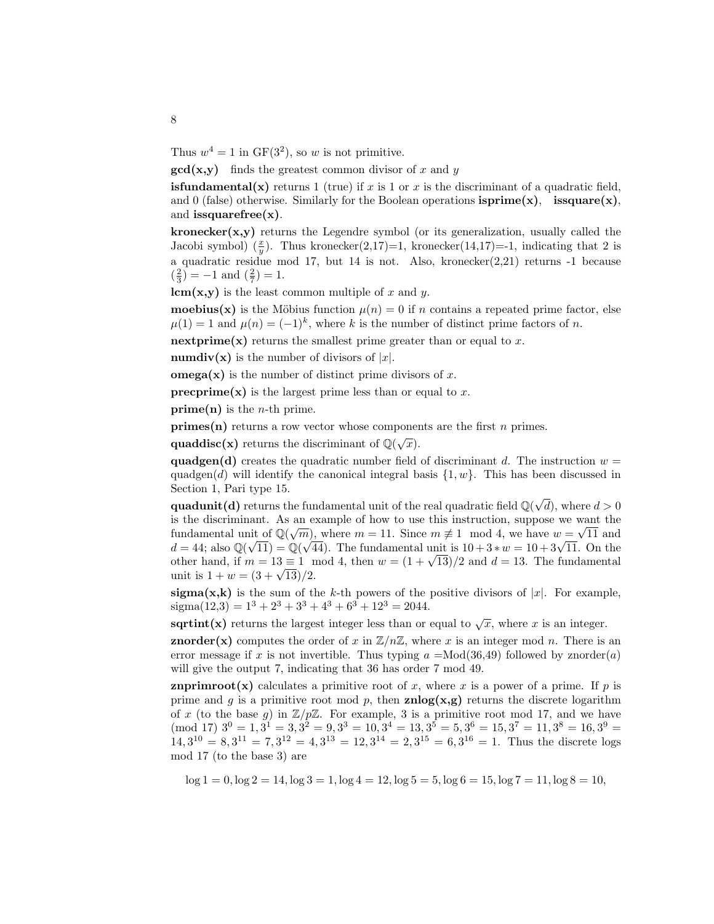Thus  $w^4 = 1$  in  $GF(3^2)$ , so *w* is not primitive.

**gcd(x,y)** finds the greatest common divisor of *x* and *y*

**isfundamental(x)** returns 1 (true) if  $x$  is 1 or  $x$  is the discriminant of a quadratic field, and 0 (false) otherwise. Similarly for the Boolean operations  $\text{isprime}(x)$ ,  $\text{issquare}(x)$ , and **issquarefree(x)**.

**kronecker(x,y)** returns the Legendre symbol (or its generalization, usually called the Jacobi symbol)  $(\frac{x}{y})$ . Thus kronecker(2,17)=1, kronecker(14,17)=-1, indicating that 2 is a quadratic residue mod 17, but 14 is not. Also, kronecker $(2,21)$  returns -1 because  $\left(\frac{2}{3}\right) = -1$  and  $\left(\frac{2}{7}\right) = 1$ .

**lcm(x,y)** is the least common multiple of *x* and *y*.

**moebius(x)** is the Möbius function  $\mu(n) = 0$  if *n* contains a repeated prime factor, else  $\mu(1) = 1$  and  $\mu(n) = (-1)^k$ , where *k* is the number of distinct prime factors of *n*.

**nextprime(x)** returns the smallest prime greater than or equal to  $x$ .

**numdiv(x)** is the number of divisors of  $|x|$ .

**omega(x)** is the number of distinct prime divisors of *x*.

**precprime(x)** is the largest prime less than or equal to  $x$ .

**prime(n)** is the *n*-th prime.

**primes(n)** returns a row vector whose components are the first *n* primes.

**quaddisc(x)** returns the discriminant of  $\mathbb{Q}(\sqrt{x})$ .

**quadgen(d)** creates the quadratic number field of discriminant *d*. The instruction  $w =$ quadgen(*d*) will identify the canonical integral basis  $\{1, w\}$ . This has been discussed in Section 1, Pari type 15.

**quadunit(d)** returns the fundamental unit of the real quadratic field  $\mathbb{Q}(\sqrt{\mathbb{Q}})$ *d*),where *d >* 0 is the discriminant. As an example of how to use this instruction, suppose we want the is the discriminant. As an example of now to use this instruction, suppose we want the fundamental unit of  $\mathbb{Q}(\sqrt{m})$ , where  $m = 11$ . Since  $m \neq 1 \mod 4$ , we have  $w = \sqrt{11}$  and fundamental unit of  $\mathbb{Q}(\sqrt{n})$ , where  $m = 11$ . Since  $m \neq 1 \mod 4$ , we have  $w = \sqrt{11}$  and  $d = 44$ ; also  $\mathbb{Q}(\sqrt{11}) = \mathbb{Q}(\sqrt{44})$ . The fundamental unit is  $10 + 3 * w = 10 + 3\sqrt{11}$ . On the other hand, if  $m = 13 \equiv 1 \mod 4$ , then  $w = (1 + \sqrt{13})/2$  and  $d = 13$ . The fundamental unit is  $1 + w = (3 + \sqrt{13})/2$ .

**sigma(x,k)** is the sum of the *k*-th powers of the positive divisors of  $|x|$ . For example,  $sigma(12,3) = 1^3 + 2^3 + 3^3 + 4^3 + 6^3 + 12^3 = 2044.$ 

**sqrtint(x)** returns the largest integer less than or equal to  $\sqrt{x}$ , where *x* is an integer.

**znorder(x)** computes the order of x in  $\mathbb{Z}/n\mathbb{Z}$ , where x is an integer mod n. There is an error message if x is not invertible. Thus typing  $a = \text{Mod}(36, 49)$  followed by znorder(a) will give the output 7, indicating that 36 has order 7 mod 49.

**znprimroot(x)** calculates a primitive root of x, where x is a power of a prime. If p is prime and *g* is a primitive root mod *p*, then **znlog(x,g)** returns the discrete logarithm of x (to the base  $g$ ) in  $\mathbb{Z}/p\mathbb{Z}$ . For example, 3 is a primitive root mod 17, and we have  $\pmod{17}$   $3^0 = 1, 3^1 = 3, 3^2 = 9, 3^3 = 10, 3^4 = 13, 3^5 = 5, 3^6 = 15, 3^7 = 11, 3^8 = 16, 3^9 =$  $14,3^{10} = 8,3^{11} = 7,3^{12} = 4,3^{13} = 12,3^{14} = 2,3^{15} = 6,3^{16} = 1$ . Thus the discrete logs mod 17 (to the base 3) are

 $log 1 = 0$ ,  $log 2 = 14$ ,  $log 3 = 1$ ,  $log 4 = 12$ ,  $log 5 = 5$ ,  $log 6 = 15$ ,  $log 7 = 11$ ,  $log 8 = 10$ ,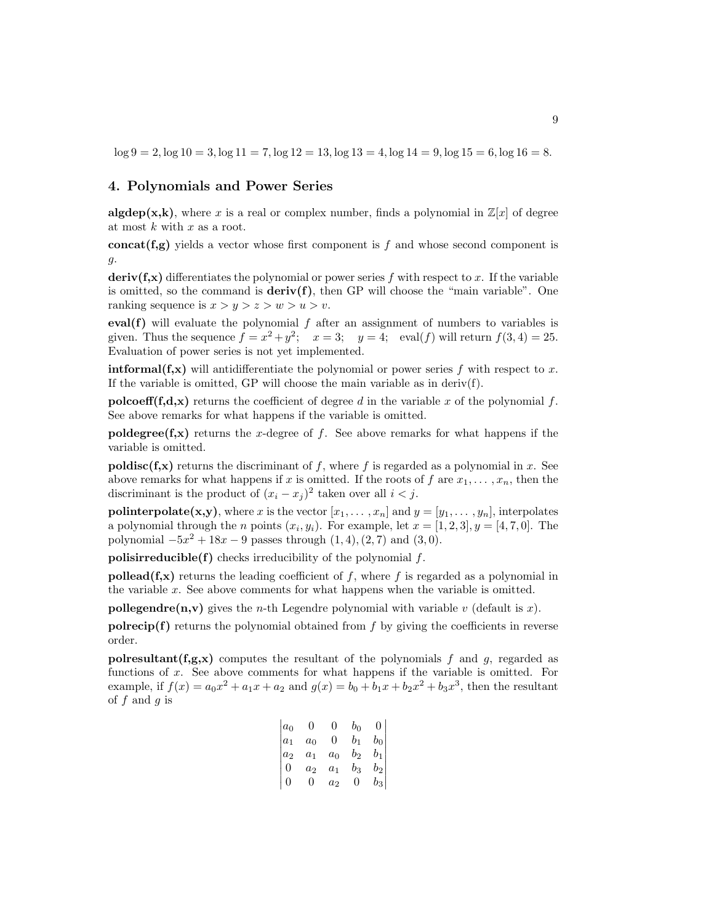$\log 9 = 2$ ,  $\log 10 = 3$ ,  $\log 11 = 7$ ,  $\log 12 = 13$ ,  $\log 13 = 4$ ,  $\log 14 = 9$ ,  $\log 15 = 6$ ,  $\log 16 = 8$ .

## **4. Polynomials and Power Series**

**algdep(x,k)**, where *x* is a real or complex number, finds a polynomial in  $\mathbb{Z}[x]$  of degree at most *k* with *x* as a root.

**concat(f,g)** yields a vector whose first component is *f* and whose second component is *g*.

**deriv(f,x)** differentiates the polynomial or power series f with respect to x. If the variable is omitted, so the command is  $\text{deriv}(f)$ , then GP will choose the "main variable". One ranking sequence is  $x > y > z > w > u > v$ .

**eval(f)** will evaluate the polynomial  $f$  after an assignment of numbers to variables is given. Thus the sequence  $f = x^2 + y^2$ ;  $x = 3$ ;  $y = 4$ ; eval(*f*) will return  $f(3, 4) = 25$ . Evaluation of power series is not yet implemented.

**intformal(f,x)** will antidifferentiate the polynomial or power series *f* with respect to *x*. If the variable is omitted,  $\Gamma$  will choose the main variable as in deriv(f).

**polcoeff(f,d,x)** returns the coefficient of degree *d* in the variable *x* of the polynomial  $f$ . See above remarks for what happens if the variable is omitted.

**poldegree(f,x)** returns the *x*-degree of *f*. See above remarks for what happens if the variable is omitted.

**poldisc(f,x)** returns the discriminant of  $f$ , where  $f$  is regarded as a polynomial in  $x$ . See above remarks for what happens if *x* is omitted. If the roots of *f* are  $x_1, \ldots, x_n$ , then the discriminant is the product of  $(x_i - x_j)^2$  taken over all  $i < j$ .

**polinterpolate(x,y)**, where *x* is the vector  $[x_1, \ldots, x_n]$  and  $y = [y_1, \ldots, y_n]$ , interpolates a polynomial through the *n* points  $(x_i, y_i)$ . For example, let  $x = [1, 2, 3], y = [4, 7, 0]$ . The polynomial  $-5x^2 + 18x - 9$  passes through  $(1, 4)$ ,  $(2, 7)$  and  $(3, 0)$ .

**polisirreducible(f)** checks irreducibility of the polynomial *f*.

**pollead(f,x)** returns the leading coefficient of  $f$ , where  $f$  is regarded as a polynomial in the variable *x*. See above comments for what happens when the variable is omitted.

**pollegendre(n,v)** gives the *n*-th Legendre polynomial with variable *v* (default is *x*).

**polrecip(f)** returns the polynomial obtained from  $f$  by giving the coefficients in reverse order.

**polresultant(f,g,x)** computes the resultant of the polynomials  $f$  and  $g$ , regarded as functions of *x*. See above comments for what happens if the variable is omitted. For example, if  $f(x) = a_0x^2 + a_1x + a_2$  and  $g(x) = b_0 + b_1x + b_2x^2 + b_3x^3$ , then the resultant of *f* and *g* is

| $a_0$ | 0     | 0        | $b_0$   | 0      |
|-------|-------|----------|---------|--------|
| $a_1$ | $a_0$ | $\theta$ | $b_1$   | $b_0$  |
| $a_2$ | $a_1$ | $a_0$    | $b_{2}$ | $b_1$  |
| 0     | $a_2$ | $a_1$    | $b_3$   | $b_2$  |
| 0     | 0     | $a_2$    | 0       | $b_3 $ |
|       |       |          |         |        |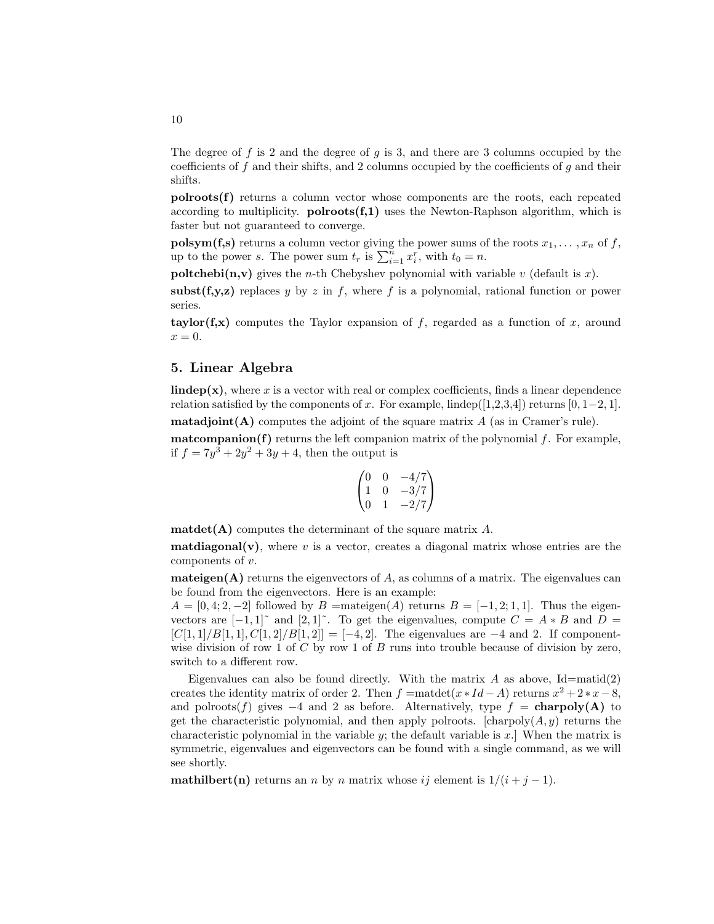The degree of f is 2 and the degree of g is 3, and there are 3 columns occupied by the coefficients of f and their shifts, and 2 columns occupied by the coefficients of g and their shifts.

**polroots(f)** returns a column vector whose components are the roots, each repeated according to multiplicity.  $\text{polroots}(f,1)$  uses the Newton-Raphson algorithm, which is faster but not guaranteed to converge.

**polsym(f,s)** returns a column vector giving the power sums of the roots  $x_1, \ldots, x_n$  of  $f$ , up to the power *s*. The power sum  $t_r$  is  $\sum_{i=1}^n x_i^r$ , with  $t_0 = n$ .

**poltchebi(n,v)** gives the *n*-th Chebyshev polynomial with variable *v* (default is *x*).

**subst(f,y,z)** replaces *y* by *z* in *f*, where *f* is a polynomial, rational function or power series.

**taylor(f,x)** computes the Taylor expansion of  $f$ , regarded as a function of  $x$ , around  $x=0$ .

## **5. Linear Algebra**

**lindep(x)**, where x is a vector with real or complex coefficients, finds a linear dependence relation satisfied by the components of *x*. For example, lindep([1,2,3,4]) returns [0, 1–2, 1].

**matadjoint(A)** computes the adjoint of the square matrix *A* (as in Cramer's rule).

**matcompanion(f)** returns the left companion matrix of the polynomial  $f$ . For example, if  $f = 7y^3 + 2y^2 + 3y + 4$ , then the output is

$$
\begin{pmatrix} 0 & 0 & -4/7 \\ 1 & 0 & -3/7 \\ 0 & 1 & -2/7 \end{pmatrix}
$$

**matdet(A)** computes the determinant of the square matrix *A*.

**matdiagonal(v)**, where  $v$  is a vector, creates a diagonal matrix whose entries are the components of *v*.

**mateigen(A)** returns the eigenvectors of  $A$ , as columns of a matrix. The eigenvalues can be found from the eigenvectors. Here is an example:

 $A = [0, 4, 2, -2]$  followed by  $B = \text{mateigen}(A)$  returns  $B = [-1, 2, 1, 1]$ . Thus the eigenvectors are  $[-1,1]$ <sup> $\sim$ </sup> and  $[2,1]$ <sup> $\sim$ </sup>. To get the eigenvalues, compute  $C = A * B$  and  $D =$  $[C[1,1]/B[1,1], C[1,2]/B[1,2]] = [-4,2]$ . The eigenvalues are  $-4$  and 2. If componentwise division of row 1 of *C* by row 1 of *B* runs into trouble because of division by zero, switch to a different row.

Eigenvalues can also be found directly. With the matrix  $A$  as above,  $Id = \text{matid}(2)$ creates the identity matrix of order 2. Then  $f = \text{maddle}(x * Id - A)$  returns  $x^2 + 2*x - 8$ , and polroots(*f*) gives  $-4$  and 2 as before. Alternatively, type  $f =$  **charpoly(A)** to get the characteristic polynomial, and then apply polroots.  $[charpoly(A, y)]$  returns the characteristic polynomial in the variable *y*; the default variable is *x*.] When the matrix is symmetric, eigenvalues and eigenvectors can be found with a single command, as we will see shortly.

**mathilbert(n)** returns an *n* by *n* matrix whose *ij* element is  $1/(i + j - 1)$ .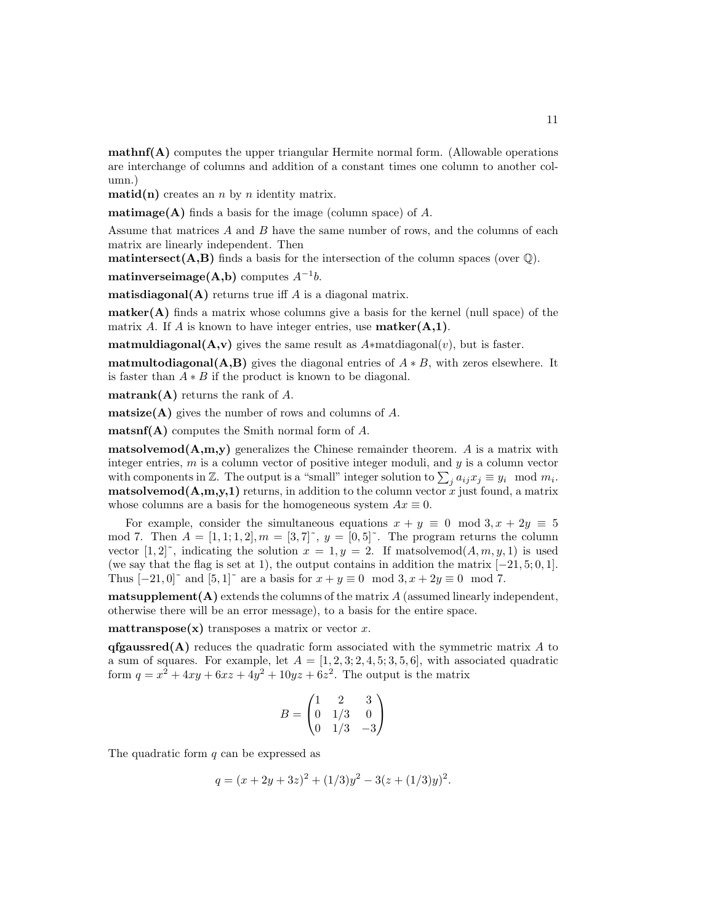**mathnf(A)** computes the upper triangular Hermite normal form. (Allowable operations are interchange of columns and addition of a constant times one column to another column.)

**matid(n)** creates an *n* by *n* identity matrix.

**matimage(A)** finds a basis for the image (column space) of *A*.

Assume that matrices A and B have the same number of rows, and the columns of each matrix are linearly independent. Then

**matintersect(A,B)** finds a basis for the intersection of the column spaces (over  $\mathbb{Q}$ ).

**matinverseimage(A,b)** computes  $A^{-1}b$ .

**matisdiagonal(A)** returns true iff *A* is a diagonal matrix.

**matker(A)** finds a matrix whose columns give a basis for the kernel (null space) of the matrix *A*. If *A* is known to have integer entries, use **matker(A,1)**.

**matmuldiagonal(A,v)** gives the same result as  $A*$ matdiagonal(*v*), but is faster.

**matmultodiagonal(A,B)** gives the diagonal entries of  $A * B$ , with zeros elsewhere. It is faster than  $A * B$  if the product is known to be diagonal.

**matrank(A)** returns the rank of *A*.

**matsize(A)** gives the number of rows and columns of *A*.

**matsnf(A)** computes the Smith normal form of *A*.

**matsolvemod(A,m,y)** generalizes the Chinese remainder theorem. *A* is a matrix with integer entries, *m* is a column vector of positive integer moduli, and *y* is a column vector with components in  $\mathbb{Z}$ . The output is a "small" integer solution to  $\sum_{j} a_{ij} x_j \equiv y_i \mod m_i$ . **matsolvemod(A,m,y,1)** returns, in addition to the column vector  $\dot{x}$  just found, a matrix whose columns are a basis for the homogeneous system  $Ax \equiv 0$ .

For example, consider the simultaneous equations  $x + y \equiv 0 \mod 3, x + 2y \equiv 5$ mod 7. Then  $A = [1, 1, 1, 2], m = [3, 7]^\sim$ ,  $y = [0, 5]^\sim$ . The program returns the column vector  $[1,2]^\sim$ , indicating the solution  $x = 1, y = 2$ . If matsolvemod $(A, m, y, 1)$  is used (we say that the flag is set at 1), the output contains in addition the matrix  $[-21, 5; 0, 1]$ . Thus  $[-21, 0]$ <sup> $\sim$ </sup> and  $[5, 1]$ <sup> $\sim$ </sup> are a basis for  $x + y \equiv 0 \mod 3, x + 2y \equiv 0 \mod 7$ .

**matsupplement(A)** extends the columns of the matrix *A* (assumed linearly independent, otherwise there will be an error message), to a basis for the entire space.

**mattranspose(x)** transposes a matrix or vector  $x$ .

**qfgaussred(A)** reduces the quadratic form associated with the symmetric matrix *A* to a sum of squares. For example, let  $A = \begin{bmatrix} 1, 2, 3, 2, 4, 5, 3, 5, 6 \end{bmatrix}$ , with associated quadratic form  $q = x^2 + 4xy + 6xz + 4y^2 + 10yz + 6z^2$ . The output is the matrix

$$
B = \begin{pmatrix} 1 & 2 & 3 \\ 0 & 1/3 & 0 \\ 0 & 1/3 & -3 \end{pmatrix}
$$

The quadratic form *q* can be expressed as

$$
q = (x + 2y + 3z)^{2} + (1/3)y^{2} - 3(z + (1/3)y)^{2}.
$$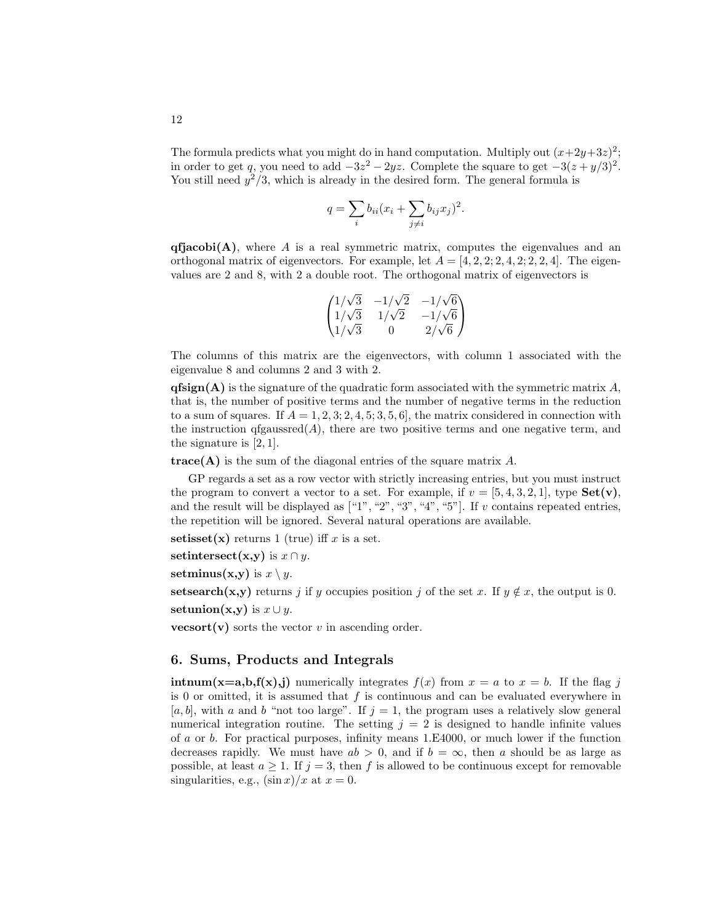The formula predicts what you might do in hand computation. Multiply out  $(x+2y+3z)^2$ ; in order to get *q*, you need to add  $-3z^2 - 2yz$ . Complete the square to get  $-3(z + y/3)^2$ . You still need  $y^2/3$ , which is already in the desired form. The general formula is

$$
q = \sum_{i} b_{ii} (x_i + \sum_{j \neq i} b_{ij} x_j)^2.
$$

 $q$ **fjacobi(A)**, where *A* is a real symmetric matrix, computes the eigenvalues and an orthogonal matrix of eigenvectors. For example, let  $A = \begin{bmatrix} 4, 2, 2, 2, 4, 2, 2, 2, 4 \end{bmatrix}$ . The eigenvalues are 2 and 8,with 2 a double root. The orthogonal matrix of eigenvectors is

$$
\begin{pmatrix} 1/\sqrt{3} & -1/\sqrt{2} & -1/\sqrt{6} \\ 1/\sqrt{3} & 1/\sqrt{2} & -1/\sqrt{6} \\ 1/\sqrt{3} & 0 & 2/\sqrt{6} \end{pmatrix}
$$

The columns of this matrix are the eigenvectors,with column 1 associated with the eigenvalue 8 and columns 2 and 3 with 2.

 $qfsign(A)$  is the signature of the quadratic form associated with the symmetric matrix  $A$ , that is, the number of positive terms and the number of negative terms in the reduction to a sum of squares. If  $A = 1, 2, 3, 2, 4, 5, 3, 5, 6$ , the matrix considered in connection with the instruction  $qfgaussred(A)$ , there are two positive terms and one negative term, and the signature is [2*,* 1].

**trace(A)** is the sum of the diagonal entries of the square matrix *A*.

GP regards a set as a row vector with strictly increasing entries, but you must instruct the program to convert a vector to a set. For example, if  $v = [5, 4, 3, 2, 1]$ , type  $Set(v)$ , and the result will be displayed as ["1"*,* "2"*,* "3"*,* "4"*,* "5"]. If *v* contains repeated entries, the repetition will be ignored. Several natural operations are available.

**setisset**(**x**) returns 1 (true) iff  $x$  is a set.

**setintersect**(**x**,**y**) is  $x \cap y$ .

**setminus(x,y)** is  $x \setminus y$ .

**setsearch(x,y)** returns *j* if *y* occupies position *j* of the set *x*. If  $y \notin x$ , the output is 0.

**setunion** $(x,y)$  is  $x \cup y$ .

**vecsort(v)** sorts the vector  $v$  in ascending order.

## **6. Sums, Products and Integrals**

**intnum(x=a,b,f(x),j)** numerically integrates  $f(x)$  from  $x = a$  to  $x = b$ . If the flag *j* is 0 or omitted, it is assumed that  $f$  is continuous and can be evaluated everywhere in [*a, b*], with *a* and *b* "not too large". If  $j = 1$ , the program uses a relatively slow general numerical integration routine. The setting  $j = 2$  is designed to handle infinite values of *a* or *b*. For practical purposes, infinity means 1.E4000, or much lower if the function decreases rapidly. We must have  $ab > 0$ , and if  $b = \infty$ , then a should be as large as possible, at least  $a \geq 1$ . If  $j = 3$ , then f is allowed to be continuous except for removable singularities, e.g.,  $(\sin x)/x$  at  $x = 0$ .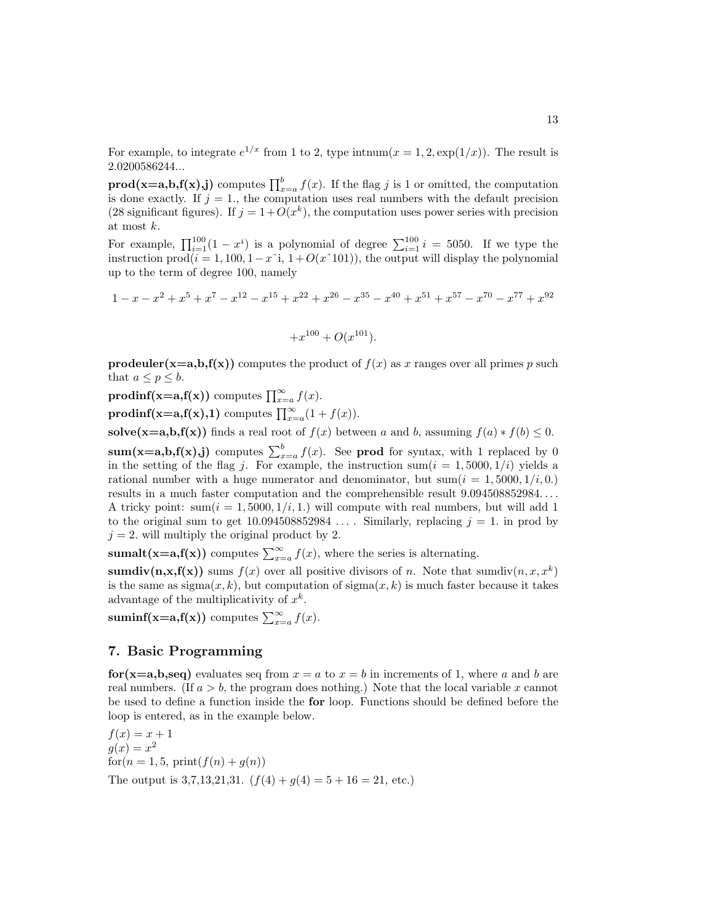For example, to integrate  $e^{1/x}$  from 1 to 2, type intnum $(x = 1, 2, \exp(1/x))$ . The result is 2.0200586244...

**prod(x=a,b,f(x),j)** computes  $\prod_{x=a}^{b} f(x)$ . If the flag *j* is 1 or omitted, the computation is done exactly. If  $j = 1$ , the computation uses real numbers with the default precision (28 significant figures). If  $j = 1 + O(x^k)$ , the computation uses power series with precision at most *k*.

For example,  $\prod_{i=1}^{100} (1 - x^i)$  is a polynomial of degree  $\sum_{i=1}^{100} i = 5050$ . If we type the instruction  $\text{prod}(i = 1, 100, 1 - x\hat{i}, 1 + O(x\hat{i}101))$ , the output will display the polynomial up to the term of degree 100,namely

$$
1 - x - x2 + x5 + x7 - x12 - x15 + x22 + x26 - x35 - x40 + x51 + x57 - x70 - x77 + x92
$$

$$
+x^{100} + O(x^{101}).
$$

**prodeuler(x=a,b,f(x))** computes the product of  $f(x)$  as x ranges over all primes p such that  $a \leq p \leq b$ .

**prodinf(x=a,f(x))** computes  $\prod_{x=a}^{\infty} f(x)$ .

**prodinf(x=a,f(x),1)** computes  $\prod_{x=a}^{\infty}(1+f(x))$ .

**solve(x=a,b,f(x)**) finds a real root of  $f(x)$  between *a* and *b*, assuming  $f(a) * f(b) \leq 0$ .

**sum(x=a,b,f(x),j)** computes  $\sum_{x=a}^{b} f(x)$ . See **prod** for syntax, with 1 replaced by 0 in the setting of the flag *j*. For example, the instruction sum( $i = 1,5000, 1/i$ ) yields a rational number with a huge numerator and denominator, but  $sum(i = 1,5000, 1/i, 0)$ . results in a much faster computation and the comprehensible result 9.094508852984*...* . A tricky point:  $\text{sum}(i = 1, 5000, 1/i, 1.)$  will compute with real numbers, but will add 1 to the original sum to get  $10.094508852984...$  Similarly, replacing  $j = 1$ . in prod by  $j = 2$ , will multiply the original product by 2.

**sumalt(x=a,f(x))** computes  $\sum_{x=a}^{\infty} f(x)$ , where the series is alternating.

**sumdiv(n,x,f(x))** sums  $f(x)$  over all positive divisors of *n*. Note that sumdiv(*n, x, x*<sup>*k*</sup>) is the same as  $\text{sigma}(x, k)$ , but computation of  $\text{sigma}(x, k)$  is much faster because it takes advantage of the multiplicativity of *xk*.

**suminf(x=a,f(x))** computes  $\sum_{x=a}^{\infty} f(x)$ .

## **7. Basic Programming**

**for**( $x=a,b,$ **seq)** evaluates seq from  $x = a$  to  $x = b$  in increments of 1, where *a* and *b* are real numbers. (If  $a > b$ , the program does nothing.) Note that the local variable *x* cannot be used to define a function inside the **for** loop. Functions should be defined before the loop is entered, as in the example below.

 $f(x) = x + 1$  $g(x) = x^2$  $f(x) = 1, 5, \text{print}(f(n) + g(n))$ The output is 3,7,13,21,31.  $(f(4) + g(4) = 5 + 16 = 21$ , etc.)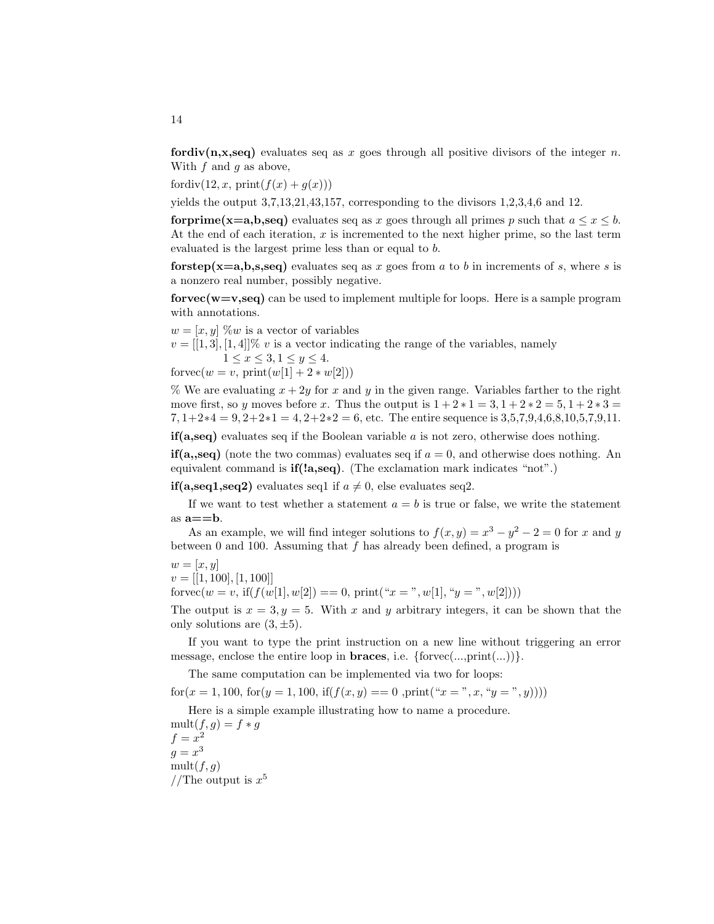**fordiv(n,x,seq)** evaluates seq as x goes through all positive divisors of the integer n. With *f* and *g* as above,

fordiv(12, x, print $(f(x) + g(x)))$ 

yields the output 3,7,13,21,43,157, corresponding to the divisors 1,2,3,4,6 and 12.

**forprime(x=a,b,seq)** evaluates seq as *x* goes through all primes *p* such that  $a \leq x \leq b$ . At the end of each iteration, x is incremented to the next higher prime, so the last term evaluated is the largest prime less than or equal to *b*.

**forstep(x=a,b,s,seq)** evaluates seq as x goes from a to b in increments of s, where s is a nonzero real number, possibly negative.

**forvec(w=v,seq)** can be used to implement multiple for loops. Here is a sample program with annotations.

 $w = [x, y]$  %*w* is a vector of variables

 $v = [[1,3], [1,4]]\% v$  is a vector indicating the range of the variables, namely  $1 \le x \le 3, 1 \le y \le 4.$ 

 $f$ orvec $(w = v, \text{print}(w[1] + 2 * w[2]))$ 

% We are evaluating  $x + 2y$  for *x* and *y* in the given range. Variables farther to the right move first, so *y* moves before *x*. Thus the output is  $1 + 2 * 1 = 3$ ,  $1 + 2 * 2 = 5$ ,  $1 + 2 * 3 = 5$ 7*,* 1+2∗4=9*,* 2+2∗1=4*,* 2+2∗2 = 6, etc. The entire sequence is 3,5,7,9,4,6,8,10,5,7,9,11.

 $\mathbf{if(a,seq)}$  evaluates seq if the Boolean variable  $a$  is not zero, otherwise does nothing.

**if(a,,seq)** (note the two commas) evaluates seq if  $a = 0$ , and otherwise does nothing. An equivalent command is **if(!a,seq)**. (The exclamation mark indicates "not".)

**if(a,seq1,seq2)** evaluates seq1 if  $a \neq 0$ , else evaluates seq2.

If we want to test whether a statement  $a = b$  is true or false, we write the statement as  $a = b$ .

As an example, we will find integer solutions to  $f(x, y) = x^3 - y^2 - 2 = 0$  for *x* and *y* between 0 and 100. Assuming that  $f$  has already been defined, a program is

$$
w = [x, y]
$$
  

$$
v = [[1, 100], [1, 100]]
$$

forvec $(w = v, \text{ if}(f(w[1], w[2]) == 0, \text{ print}("x = " , w[1], "y = " , w[2]))$ 

The output is  $x = 3, y = 5$ . With x and y arbitrary integers, it can be shown that the only solutions are  $(3, \pm 5)$ .

If you want to type the print instruction on a new line without triggering an error message, enclose the entire loop in **braces**, i.e.  $\{\text{force}(\ldots,\text{print}(\ldots))\}.$ 

The same computation can be implemented via two for loops:

 $f(x) = f(x; y) = f(x; y) = f(x; y) = f(x; y) = f(x; y) = f(x; y) = f(x; y) = f(x; y) = f(x; y)$ 

Here is a simple example illustrating how to name a procedure.  $mult(f,g) = f * g$ 

 $f = x^2$  $g = x^3$ mult $(f, q)$ //The output is  $x^5$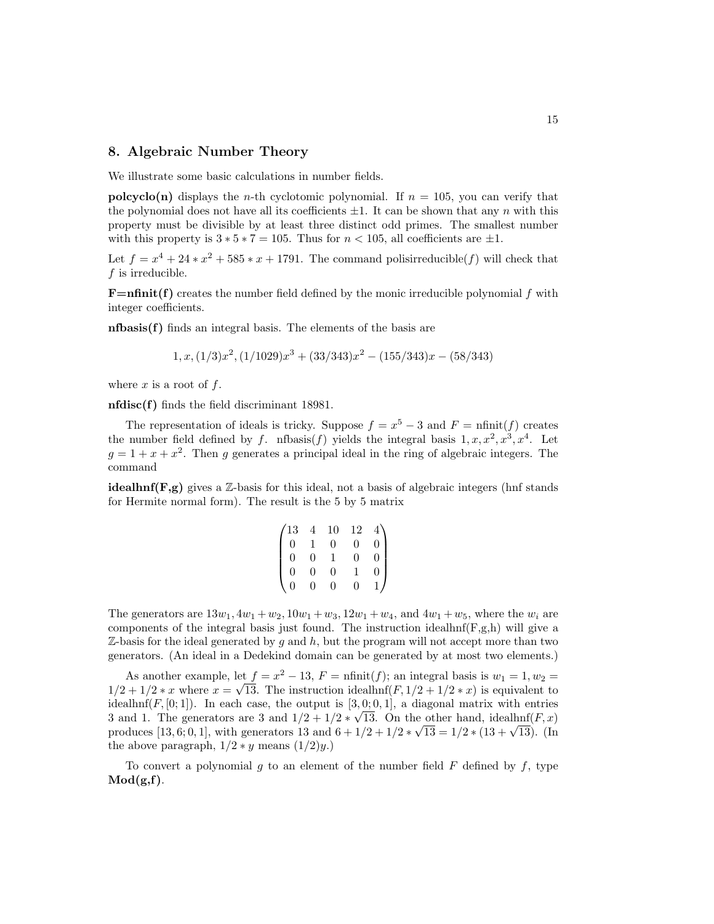## **8. Algebraic Number Theory**

We illustrate some basic calculations in number fields.

**polcyclo(n)** displays the *n*-th cyclotomic polynomial. If  $n = 105$ , you can verify that the polynomial does not have all its coefficients  $\pm 1$ . It can be shown that any *n* with this property must be divisible by at least three distinct odd primes. The smallest number with this property is  $3 * 7 = 105$ . Thus for  $n < 105$ , all coefficients are  $\pm 1$ .

Let  $f = x^4 + 24 \times x^2 + 585 \times x + 1791$ . The command polisirreducible(*f*) will check that *f* is irreducible.

**F=nfinit(f)** creates the number field defined by the monic irreducible polynomial *f* with integer coefficients.

**nfbasis(f)** finds an integral basis. The elements of the basis are

$$
1, x, (1/3)x2, (1/1029)x3 + (33/343)x2 - (155/343)x - (58/343)
$$

where  $x$  is a root of  $f$ .

**nfdisc(f)** finds the field discriminant 18981.

The representation of ideals is tricky. Suppose  $f = x^5 - 3$  and  $F = \text{nfinit}(f)$  creates the number field defined by *f*. nfbasis(*f*) yields the integral basis  $1, x, x^2, x^3, x^4$ . Let  $g = 1 + x + x<sup>2</sup>$ . Then *g* generates a principal ideal in the ring of algebraic integers. The command

**idealhnf(F,g)** gives a  $\mathbb{Z}$ -basis for this ideal, not a basis of algebraic integers (hnf stands for Hermite normal form). The result is the 5 by 5 matrix

| $^{\prime}13$ |          | 10 | 12 |                |
|---------------|----------|----|----|----------------|
| $\Omega$      |          | 0  | 0  | $\overline{0}$ |
| $\Omega$      | 0        |    | 0  | $\overline{0}$ |
| $\Omega$      | $\Omega$ | 0  |    | $\overline{0}$ |
| 0             | 0        | 0  | O  |                |

The generators are  $13w_1, 4w_1 + w_2, 10w_1 + w_3, 12w_1 + w_4$ , and  $4w_1 + w_5$ , where the  $w_i$  are components of the integral basis just found. The instruction idealhnf $(F,g,h)$  will give a  $\mathbb{Z}$ -basis for the ideal generated by g and h, but the program will not accept more than two generators. (An ideal in a Dedekind domain can be generated by at most two elements.)

As another example, let  $f = x^2 - 13$ ,  $F = \text{nfinit}(f)$ ; an integral basis is  $w_1 = 1, w_2 =$  $1/2 + 1/2 * x$  where  $x = \sqrt{13}$ . The instruction idealhnf(*F*,  $1/2 + 1/2 * x$ ) is equivalent to idealhnf( $F$ ,  $[0; 1]$ ). In each case, the output is  $[3, 0; 0, 1]$ , a diagonal matrix with entries dealihii $(F, [0, 1])$ . In each case, the output is  $[3, 0, 0, 1]$ , a diagonal matrix with entries 3 and 1. The generators are 3 and  $1/2 + 1/2 \times \sqrt{13}$ . On the other hand, idealhnf(*F, x*) 5 and 1. The generators are 5 and  $1/2 + 1/2 * \sqrt{13}$ . On the other hand, idealihii(*r*, *x*) produces [13, 6; 0, 1], with generators 13 and  $6 + 1/2 + 1/2 * \sqrt{13} = 1/2 * (13 + \sqrt{13})$ . (In the above paragraph,  $1/2 * y$  means  $(1/2)y$ .)

To convert a polynomial  $q$  to an element of the number field  $F$  defined by  $f$ , type **Mod(g,f)**.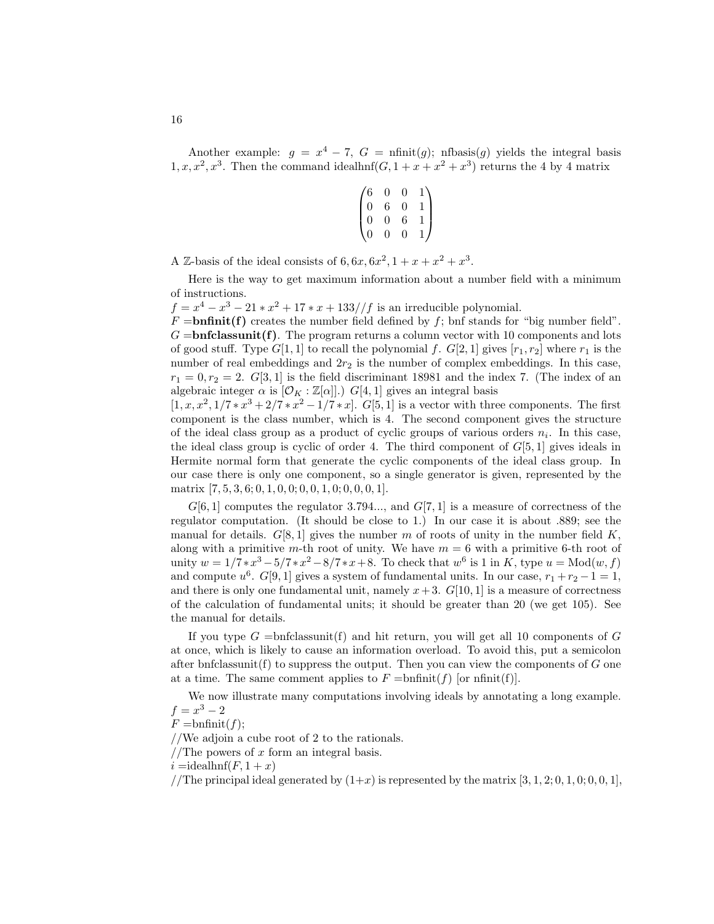Another example:  $g = x^4 - 7$ ,  $G = \text{nfinit}(g)$ ; nfbasis(*g*) yields the integral basis  $1, x, x^2, x^3$ . Then the command idealhnf $(G, 1 + x + x^2 + x^3)$  returns the 4 by 4 matrix

$$
\begin{pmatrix} 6 & 0 & 0 & 1 \\ 0 & 6 & 0 & 1 \\ 0 & 0 & 6 & 1 \\ 0 & 0 & 0 & 1 \end{pmatrix}
$$

A Z-basis of the ideal consists of  $6, 6x, 6x^2, 1 + x + x^2 + x^3$ .

Here is the way to get maximum information about a number field with a minimum of instructions.

 $f = x^4 - x^3 - 21 \cdot x^2 + 17 \cdot x + 133 // f$  is an irreducible polynomial.

 $F = \text{bnfinite}(\mathbf{f})$  creates the number field defined by  $f$ ; bnf stands for "big number field".  $G =$ **bnfclassunit(f)**. The program returns a column vector with 10 components and lots of good stuff. Type  $G[1, 1]$  to recall the polynomial  $f$ .  $G[2, 1]$  gives  $[r_1, r_2]$  where  $r_1$  is the number of real embeddings and  $2r<sub>2</sub>$  is the number of complex embeddings. In this case,  $r_1 = 0, r_2 = 2$ . *G*[3*,* 1] is the field discriminant 18981 and the index 7. (The index of an algebraic integer  $\alpha$  is  $[\mathcal{O}_K : \mathbb{Z}[\alpha]]$ .)  $G[4, 1]$  gives an integral basis

 $[1, x, x^2, 1/7 * x^3 + 2/7 * x^2 - 1/7 * x]$ . *G*[5*,* 1] is a vector with three components. The first component is the class number, which is 4. The second component gives the structure of the ideal class group as a product of cyclic groups of various orders *ni*. In this case, the ideal class group is cyclic of order 4. The third component of  $G[5, 1]$  gives ideals in Hermite normal form that generate the cyclic components of the ideal class group. In our case there is only one component, so a single generator is given, represented by the matrix [7*,* 5*,* 3*,* 6; 0*,* 1*,* 0*,* 0; 0*,* 0*,* 1*,* 0; 0*,* 0*,* 0*,* 1].

 $G[6,1]$  computes the regulator 3.794..., and  $G[7,1]$  is a measure of correctness of the regulator computation. (It should be close to 1.) In our case it is about .889; see the manual for details.  $G[8, 1]$  gives the number  $m$  of roots of unity in the number field  $K$ , along with a primitive *m*-th root of unity. We have  $m = 6$  with a primitive 6-th root of unity  $w = 1/7 * x^3 - 5/7 * x^2 - 8/7 * x + 8$ . To check that  $w^6$  is 1 in *K*, type  $u = \text{Mod}(w, f)$ and compute  $u^6$ .  $G[9,1]$  gives a system of fundamental units. In our case,  $r_1 + r_2 - 1 = 1$ , and there is only one fundamental unit, namely  $x+3$ .  $G[10, 1]$  is a measure of correctness of the calculation of fundamental units; it should be greater than 20 (we get 105). See the manual for details.

If you type  $G =$ bnfclassunit(f) and hit return, you will get all 10 components of  $G$ at once,which is likely to cause an information overload. To avoid this,put a semicolon after bnfclassunit(f) to suppress the output. Then you can view the components of  $G$  one at a time. The same comment applies to  $F = \text{bnfinite}(f)$  [or nfinit(f)].

We now illustrate many computations involving ideals by annotating a long example.  $f = x^3 - 2$ 

$$
F = \text{bnfinite}(f);
$$

//We adjoin a cube root of 2 to the rationals.

//The powers of *x* form an integral basis.

 $i =$ **i** dealhnf( $F$ , 1 +  $x$ )

//The principal ideal generated by  $(1+x)$  is represented by the matrix  $[3, 1, 2; 0, 1, 0; 0, 0, 1]$ ,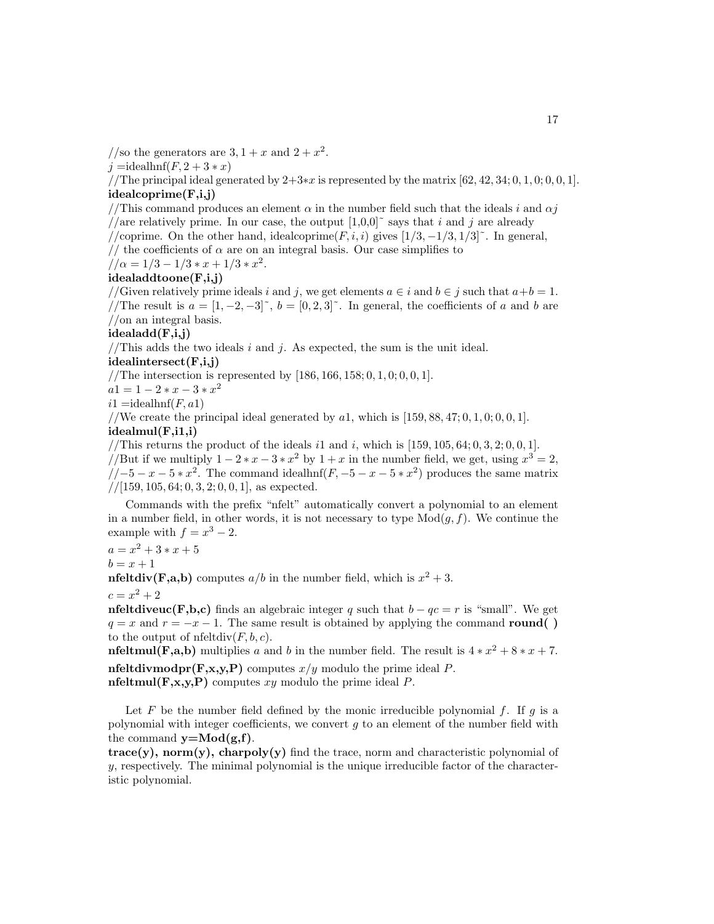//so the generators are  $3, 1 + x$  and  $2 + x<sup>2</sup>$ .

$$
j = \text{idealhnf}(F, 2+3*x)
$$

//The principal ideal generated by 2+3∗*x* is represented by the matrix [62*,* 42*,* 34; 0*,* 1*,* 0; 0*,* 0*,* 1]. **idealcoprime(F,i,j)**

# //This command produces an element  $\alpha$  in the number field such that the ideals *i* and  $\alpha j$ //are relatively prime. In our case, the output  $[1,0,0]$ <sup> $\sim$ </sup> says that *i* and *j* are already

//coprime. On the other hand, idealcoprime( $F, i, i$ ) gives  $\left[1/3, -1/3, 1/3\right]$ <sup>\*</sup>. In general,

// the coefficients of  $\alpha$  are on an integral basis. Our case simplifies to

$$
//\alpha = 1/3 - 1/3 * x + 1/3 * x^2.
$$

### **idealaddtoone(F,i,j)**

//Given relatively prime ideals *i* and *j*, we get elements  $a \in i$  and  $b \in j$  such that  $a+b=1$ . //The result is  $a = [1, -2, -3]^\sim$ ,  $b = [0, 2, 3]^\sim$ . In general, the coefficients of a and b are //on an integral basis.

## **idealadd(F,i,j)**

//This adds the two ideals  $i$  and  $j$ . As expected, the sum is the unit ideal.

## **idealintersect(F,i,j)**

//The intersection is represented by [186*,* 166*,* 158; 0*,* 1*,* 0; 0*,* 0*,* 1].

 $a1 = 1 - 2 * x - 3 * x^2$ 

 $i1 =$ idealhnf(*F,a*1)

//We create the principal ideal generated by  $a_1$ , which is [159, 88, 47; 0, 1, 0; 0, 0, 1].

## **idealmul(F,i1,i)**

//This returns the product of the ideals  $i1$  and  $i$ , which is  $[159, 105, 64; 0, 3, 2; 0, 0, 1]$ .

//But if we multiply  $1 - 2*x - 3*x^2$  by  $1 + x$  in the number field, we get, using  $x^3 = 2$ ,  $\sqrt{(-5-x-5*x^2)}$ . The command idealhnf( $F, -5-x-5*x^2$ ) produces the same matrix  $// [159, 105, 64; 0, 3, 2; 0, 0, 1],$  as expected.

Commands with the prefix "nfelt" automatically convert a polynomial to an element in a number field, in other words, it is not necessary to type  $Mod(g, f)$ . We continue the example with  $f = x^3 - 2$ .

 $a = x^2 + 3 * x + 5$  $b = x + 1$ 

**nfeltdiv(F,a,b)** computes  $a/b$  in the number field, which is  $x^2 + 3$ .

$$
c = x^2 + 2
$$

**nfeltdiveuc(F,b,c)** finds an algebraic integer *q* such that  $b - qc = r$  is "small". We get  $q = x$  and  $r = -x - 1$ . The same result is obtained by applying the command **round()** to the output of  $n\text{feltdiv}(F, b, c)$ .

**nfeltmul(F,a,b)** multiplies *a* and *b* in the number field. The result is  $4 * x^2 + 8 * x + 7$ . **nfeltdivmodpr(F,x,y,P)** computes  $x/y$  modulo the prime ideal *P*.

**nfeltmul(F,x,y,P)** computes *xy* modulo the prime ideal *P*.

Let  $F$  be the number field defined by the monic irreducible polynomial  $f$ . If  $q$  is a polynomial with integer coefficients,we convert *g* to an element of the number field with the command  $y=Mod(g,f)$ .

 $trace(y)$ ,  $norm(y)$ ,  $charpoly(y)$  find the trace, norm and characteristic polynomial of  $y$ , respectively. The minimal polynomial is the unique irreducible factor of the characteristic polynomial.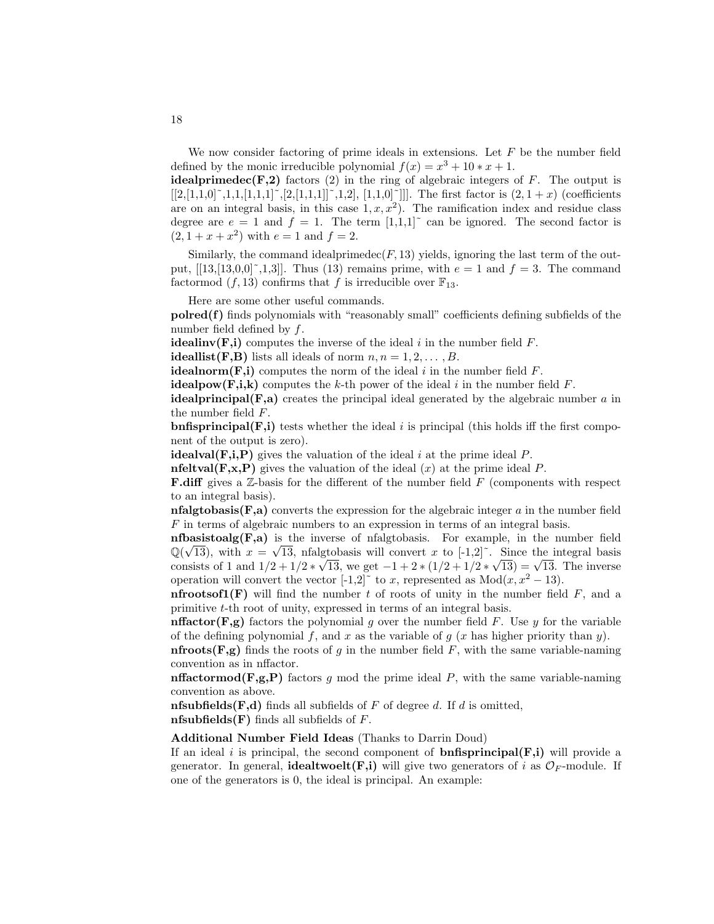We now consider factoring of prime ideals in extensions. Let *F* be the number field defined by the monic irreducible polynomial  $f(x) = x^3 + 10 \times x + 1$ .

**idealprimedec(F,2)** factors (2) in the ring of algebraic integers of  $F$ . The output is  $[[2,[1,1,0]^\sim,1,1,[1,1,1]^\sim,[2,[1,1,1]]^\sim,1,2], [1,1,0]^\sim]$ ]]. The first factor is  $(2,1+x)$  (coefficients are on an integral basis, in this case  $1, x, x^2$ . The ramification index and residue class degree are  $e = 1$  and  $f = 1$ . The term  $[1,1,1]^\sim$  can be ignored. The second factor is  $(2, 1 + x + x^2)$  with  $e = 1$  and  $f = 2$ .

Similarly, the command idealprimedec( $F$ , 13) yields, ignoring the last term of the output,  $[13,13,0,0]^\sim, 1,3]$ . Thus (13) remains prime, with  $e = 1$  and  $f = 3$ . The command factormod  $(f, 13)$  confirms that f is irreducible over  $\mathbb{F}_{13}$ .

Here are some other useful commands.

**polred(f)** finds polynomials with "reasonably small" coefficients defining subfields of the number field defined by *f*.

**idealinv**( $\bf{F}, i$ ) computes the inverse of the ideal *i* in the number field  $\bf{F}$ .

**ideallist(F,B)** lists all ideals of norm  $n, n = 1, 2, \ldots, B$ .

**idealnorm(F,i)** computes the norm of the ideal *i* in the number field  $F$ .

**idealpow(F,i,k)** computes the *k*-th power of the ideal *i* in the number field  $F$ .

**idealprincipal(F,a)** creates the principal ideal generated by the algebraic number *a* in the number field *F*.

**bnfisprincipal(F,i)** tests whether the ideal *i* is principal (this holds iff the first component of the output is zero).

**idealval(F,i,P)** gives the valuation of the ideal *i* at the prime ideal *P*.

**nfeltval(F,x,P)** gives the valuation of the ideal (*x*) at the prime ideal *P*.

**F.diff** gives a Z-basis for the different of the number field F (components with respect to an integral basis).

**nfalgtobasis(F,a)** converts the expression for the algebraic integer *a* in the number field *F* in terms of algebraic numbers to an expression in terms of an integral basis.

**nfbasistoalg(F,a)** is the inverse of nfalgtobasis. For example, in the number field **nibasistodig(r,a)** is the inverse of malgtobasis. For example, in the number held  $\mathbb{Q}(\sqrt{13})$ , with  $x = \sqrt{13}$ , nfalgtobasis will convert x to [-1,2]<sup> $\degree$ </sup>. Since the integral basis  $\mathbb{Q}(\sqrt{13})$ , with  $x = \sqrt{13}$ , maigropasis will convert x to [-1,2]. Since the integral basis<br>consists of 1 and  $1/2 + 1/2 * \sqrt{13}$ , we get  $-1 + 2 * (1/2 + 1/2 * \sqrt{13}) = \sqrt{13}$ . The inverse operation will convert the vector  $[-1,2]$ <sup> $\sim$ </sup> to *x*, represented as Mod $(x, x^2 - 13)$ .

**nfrootsof1(F)** will find the number t of roots of unity in the number field  $F$ , and a primitive *t*-th root of unity, expressed in terms of an integral basis.

**nffactor(F,g)** factors the polynomial *g* over the number field *F*. Use *y* for the variable of the defining polynomial  $f$ , and  $x$  as the variable of  $g(x)$  has higher priority than  $y$ ).

**nfroots(F,g)** finds the roots of *q* in the number field *F*, with the same variable-naming convention as in nffactor.

**nffactormod(F,g,P)** factors q mod the prime ideal P, with the same variable-naming convention as above.

**nfsubfields(F,d)** finds all subfields of *F* of degree *d*. If *d* is omitted, **nfsubfields(F)** finds all subfields of *F*.

**Additional Number Field Ideas** (Thanks to Darrin Doud)

If an ideal *i* is principal, the second component of **bnfisprincipal(F,i)** will provide a generator. In general, **idealtwoelt(F,i)** will give two generators of *i* as  $\mathcal{O}_F$ -module. If one of the generators is  $0$ , the ideal is principal. An example: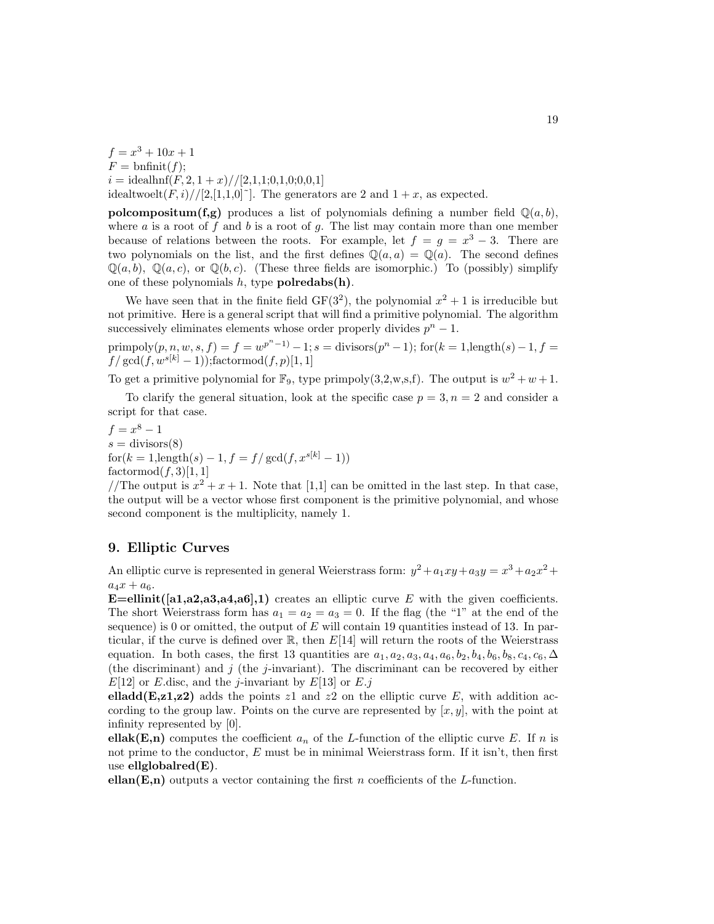$f = x^3 + 10x + 1$  $F = \text{bnfinite}(f);$  $i = \text{idealhnf}(F, 2, 1 + x) // [2, 1, 1; 0, 1, 0; 0, 0, 1]$ idealtwoelt $(F, i)/[2, [1,1,0]^{\sim}]$ . The generators are 2 and  $1 + x$ , as expected.

**polcompositum(f,g)** produces a list of polynomials defining a number field  $\mathbb{Q}(a, b)$ , where *a* is a root of *f* and *b* is a root of *g*. The list may contain more than one member because of relations between the roots. For example, let  $f = g = x^3 - 3$ . There are two polynomials on the list, and the first defines  $\mathbb{Q}(a, a) = \mathbb{Q}(a)$ . The second defines  $\mathbb{Q}(a, b)$ ,  $\mathbb{Q}(a, c)$ , or  $\mathbb{Q}(b, c)$ . (These three fields are isomorphic.) To (possibly) simplify one of these polynomials  $h$ , type **polredabs(h)**.

We have seen that in the finite field  $GF(3^2)$ , the polynomial  $x^2 + 1$  is irreducible but not primitive. Here is a general script that will find a primitive polynomial. The algorithm successively eliminates elements whose order properly divides  $p^n - 1$ .

 $\text{primpoly}(p, n, w, s, f) = f = w^{p^{n}-1} - 1; s = \text{divisors}(p^{n}-1); \text{ for } (k = 1, \text{length}(s) - 1, f = 1)$  $f/\gcd(f, w^{s[k]} - 1)$ ;factormod $(f, p)[1, 1]$ 

To get a primitive polynomial for  $\mathbb{F}_9$ , type primpoly(3,2,w,s,f). The output is  $w^2 + w + 1$ .

To clarify the general situation, look at the specific case  $p = 3, n = 2$  and consider a script for that case.

 $f = x^8 - 1$  $s = \text{divisors}(8)$  $f \circ f(k = 1$ , length $(s) - 1$ ,  $f = f/gcd(f, x^{s[k]} - 1)$  $factormod(f, 3)[1, 1]$ 

//The output is  $x^2 + x + 1$ . Note that [1,1] can be omitted in the last step. In that case, the output will be a vector whose first component is the primitive polynomial, and whose second component is the multiplicity, namely 1.

## **9. Elliptic Curves**

An elliptic curve is represented in general Weierstrass form:  $y^2 + a_1xy + a_3y = x^3 + a_2x^2 +$  $a_4x + a_6.$ 

**E**=ellinit( $[a1,a2,a3,a4,a6]$ ,1) creates an elliptic curve *E* with the given coefficients. The short Weierstrass form has  $a_1 = a_2 = a_3 = 0$ . If the flag (the "1" at the end of the sequence) is 0 or omitted, the output of  $E$  will contain 19 quantities instead of 13. In particular, if the curve is defined over  $\mathbb{R}$ , then  $E[14]$  will return the roots of the Weierstrass equation. In both cases, the first 13 quantities are  $a_1, a_2, a_3, a_4, a_6, b_2, b_4, b_6, b_8, c_4, c_6, \Delta$ (the discriminant) and *j* (the *j*-invariant). The discriminant can be recovered by either  $E[12]$  or *E*.disc, and the *j*-invariant by  $E[13]$  or *E.j* 

**elladd(E,z1,z2)** adds the points  $z1$  and  $z2$  on the elliptic curve E, with addition according to the group law. Points on the curve are represented by  $[x, y]$ , with the point at infinity represented by [0].

**ellak(E,n)** computes the coefficient  $a_n$  of the *L*-function of the elliptic curve *E*. If *n* is not prime to the conductor,  $E$  must be in minimal Weierstrass form. If it isn't, then first use **ellglobalred(E)**.

**ellan(E,n)** outputs a vector containing the first *n* coefficients of the *L*-function.